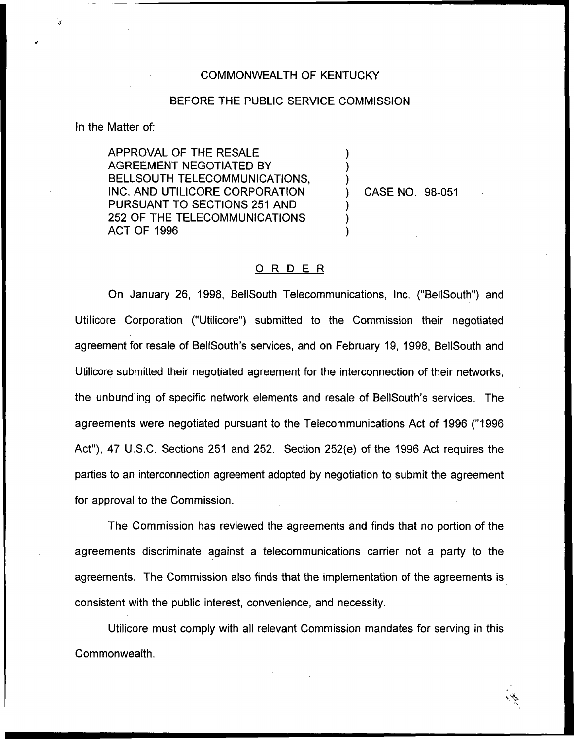## COMMONWEALTH OF KENTUCKY

## BEFORE THE PUBLIC SERVICE COMMISSION

) ) )

) )  $\overline{\phantom{a}}$ 

In the Matter of:

APPROVAL OF THE RESALE AGREEMENT NEGOTIATED BY BELLSOUTH TELECOMMUNICATIONS, INC. AND UTILICORE CORPORATION PURSUANT TO SECTIONS 251 AND 252 OF THE TELECOMMUNICATIONS ACT OF 1996

) CASE NO. 98-051

## 0 <sup>R</sup> <sup>D</sup> <sup>E</sup> <sup>R</sup>

On January 26, 1998, BellSouth Telecommunications, Inc. ("BellSouth") and Utilicore Corporation ("Utilicore") submitted to the Commission their negotiated agreement for resale of BellSouth's services, and on February 19, 1998, BellSouth and Utilicore submitted their negotiated agreement for the interconnection of their networks, the unbundling of specific network elements and resale of BellSouth's services. The agreements were negotiated pursuant to the Telecommunications Act of 1996 ("1996 Act"), 47 U.S.C. Sections 251 and 252. Section 252(e) of the 1996 Act requires the parties to an interconnection agreement adopted by negotiation to submit the agreement for approval to the Commission.

The Commission has reviewed the agreements and finds that no portion of the agreements discriminate against a telecommunications carrier not a party to the agreements. The Commission also finds that the implementation of the agreements is consistent with the public interest, convenience, and necessity.

Utilicore must comply with all relevant Commission mandates for serving in this Commonwealth.